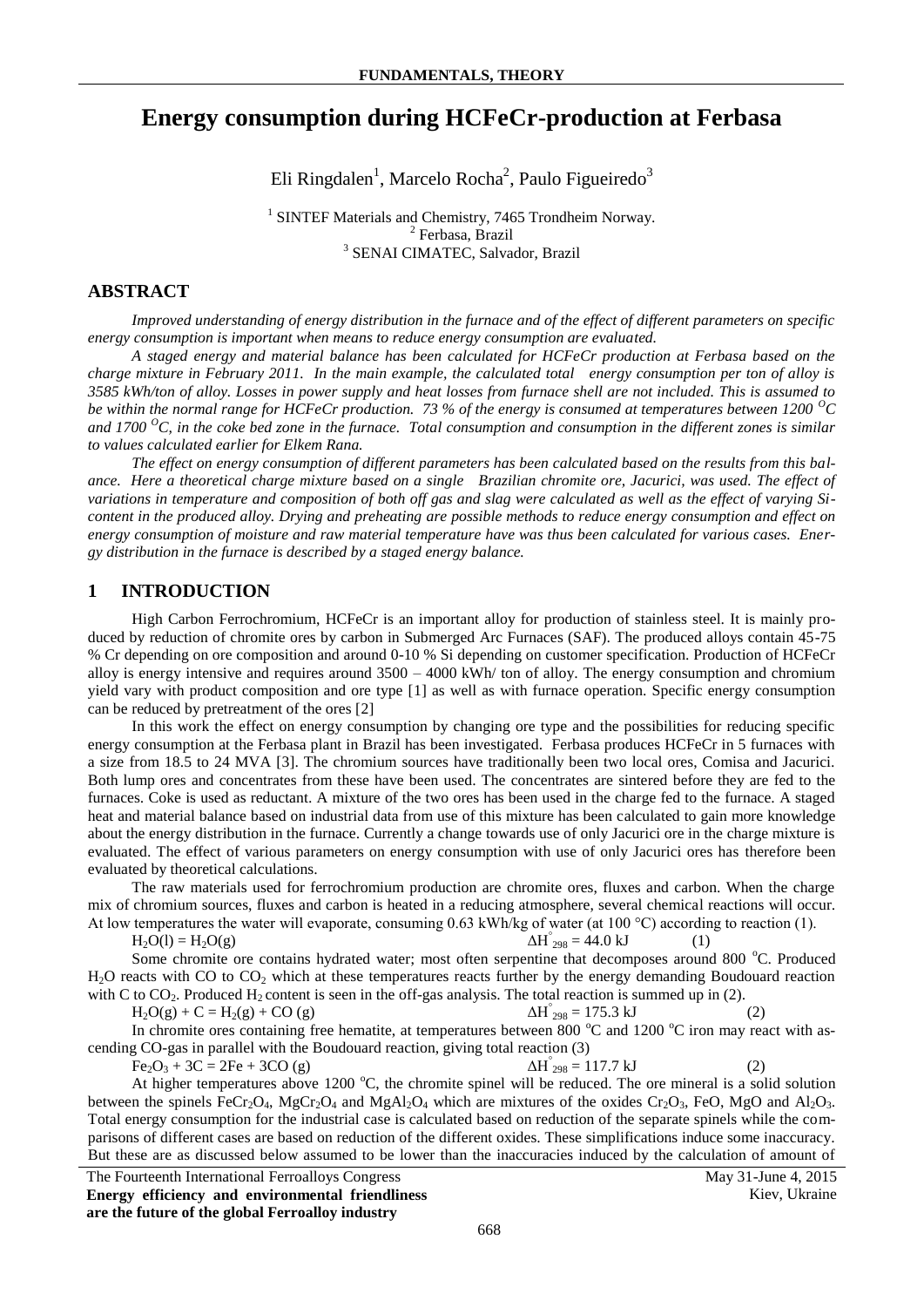# **Energy consumption during HCFeCr-production at Ferbasa**

Eli Ringdalen<sup>1</sup>, Marcelo Rocha<sup>2</sup>, Paulo Figueiredo<sup>3</sup>

<sup>1</sup> SINTEF Materials and Chemistry, 7465 Trondheim Norway. 2 Ferbasa, Brazil 3 SENAI CIMATEC, Salvador, Brazil

### **ABSTRACT**

*Improved understanding of energy distribution in the furnace and of the effect of different parameters on specific energy consumption is important when means to reduce energy consumption are evaluated.*

*A staged energy and material balance has been calculated for HCFeCr production at Ferbasa based on the charge mixture in February 2011. In the main example, the calculated total energy consumption per ton of alloy is 3585 kWh/ton of alloy. Losses in power supply and heat losses from furnace shell are not included. This is assumed to be within the normal range for HCFeCr production. 73 % of the energy is consumed at temperatures between 1200 <sup>O</sup>C and 1700 <sup>O</sup>C, in the coke bed zone in the furnace. Total consumption and consumption in the different zones is similar to values calculated earlier for Elkem Rana.* 

*The effect on energy consumption of different parameters has been calculated based on the results from this balance. Here a theoretical charge mixture based on a single Brazilian chromite ore, Jacurici, was used. The effect of variations in temperature and composition of both off gas and slag were calculated as well as the effect of varying Sicontent in the produced alloy. Drying and preheating are possible methods to reduce energy consumption and effect on energy consumption of moisture and raw material temperature have was thus been calculated for various cases. Energy distribution in the furnace is described by a staged energy balance.*

### **1 INTRODUCTION**

High Carbon Ferrochromium, HCFeCr is an important alloy for production of stainless steel. It is mainly produced by reduction of chromite ores by carbon in Submerged Arc Furnaces (SAF). The produced alloys contain 45-75 % Cr depending on ore composition and around 0-10 % Si depending on customer specification. Production of HCFeCr alloy is energy intensive and requires around  $3500 - 4000$  kWh/ ton of alloy. The energy consumption and chromium yield vary with product composition and ore type [1] as well as with furnace operation. Specific energy consumption can be reduced by pretreatment of the ores [2]

In this work the effect on energy consumption by changing ore type and the possibilities for reducing specific energy consumption at the Ferbasa plant in Brazil has been investigated. Ferbasa produces HCFeCr in 5 furnaces with a size from 18.5 to 24 MVA [3]. The chromium sources have traditionally been two local ores, Comisa and Jacurici. Both lump ores and concentrates from these have been used. The concentrates are sintered before they are fed to the furnaces. Coke is used as reductant. A mixture of the two ores has been used in the charge fed to the furnace. A staged heat and material balance based on industrial data from use of this mixture has been calculated to gain more knowledge about the energy distribution in the furnace. Currently a change towards use of only Jacurici ore in the charge mixture is evaluated. The effect of various parameters on energy consumption with use of only Jacurici ores has therefore been evaluated by theoretical calculations.

The raw materials used for ferrochromium production are chromite ores, fluxes and carbon. When the charge mix of chromium sources, fluxes and carbon is heated in a reducing atmosphere, several chemical reactions will occur. At low temperatures the water will evaporate, consuming 0.63 kWh/kg of water (at 100 °C) according to reaction (1).

 $H_2O(1) = H_2O(g)$  $\Delta H_{298}^{\circ} = 44.0 \text{ kJ}$  (1)

Some chromite ore contains hydrated water; most often serpentine that decomposes around 800 °C. Produced H<sub>2</sub>O reacts with CO to CO<sub>2</sub> which at these temperatures reacts further by the energy demanding Boudouard reaction with C to  $CO<sub>2</sub>$ . Produced H<sub>2</sub> content is seen in the off-gas analysis. The total reaction is summed up in (2).

 $H_2O(g) + C = H_2(g) + CO(g)$  $\Delta H_{298}^{\circ} = 175.3 \text{ kJ}$  (2)

In chromite ores containing free hematite, at temperatures between 800  $^{\circ}$ C and 1200  $^{\circ}$ C iron may react with ascending CO-gas in parallel with the Boudouard reaction, giving total reaction (3)

 $Fe_2O_3 + 3C = 2Fe + 3CO (g)$  $\Delta H_{298}^{\circ} = 117.7 \text{ kJ}$  (2)

At higher temperatures above 1200  $^{\circ}$ C, the chromite spinel will be reduced. The ore mineral is a solid solution between the spinels FeCr<sub>2</sub>O<sub>4</sub>, MgCr<sub>2</sub>O<sub>4</sub> and MgAl<sub>2</sub>O<sub>4</sub> which are mixtures of the oxides Cr<sub>2</sub>O<sub>3</sub>, FeO, MgO and Al<sub>2</sub>O<sub>3</sub>. Total energy consumption for the industrial case is calculated based on reduction of the separate spinels while the comparisons of different cases are based on reduction of the different oxides. These simplifications induce some inaccuracy. But these are as discussed below assumed to be lower than the inaccuracies induced by the calculation of amount of

The Fourteenth International Ferroalloys Congress May 31-June 4, 2015 **Energy efficiency and environmental friendliness are the future of the global Ferroalloy industry**

Kiev, Ukraine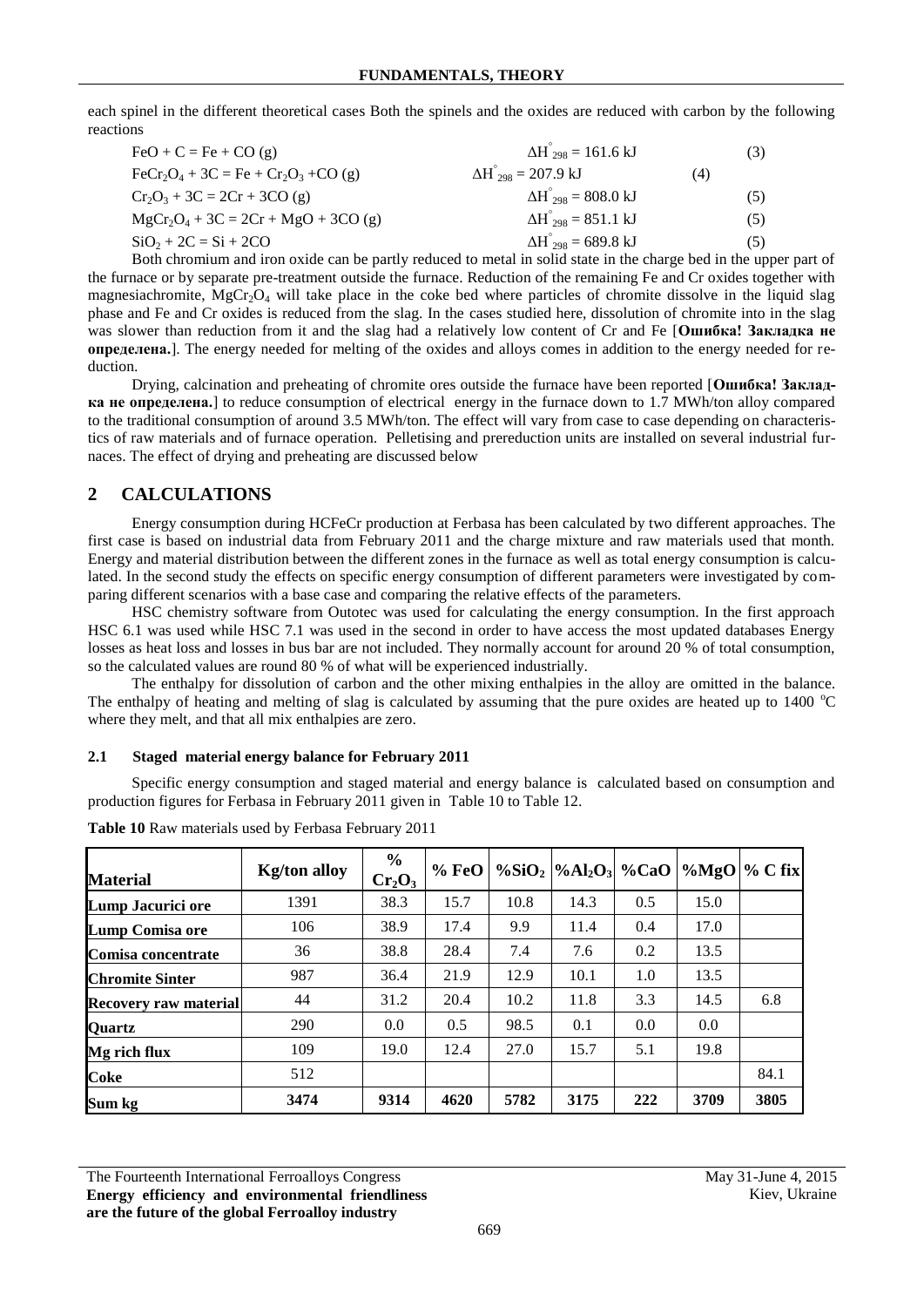each spinel in the different theoretical cases Both the spinels and the oxides are reduced with carbon by the following reactions

| $FeO + C = Fe + CO(g)$                                                                    | $\Delta H_{298}^{\circ} = 161.6 \text{ kJ}$  |     | (3) |
|-------------------------------------------------------------------------------------------|----------------------------------------------|-----|-----|
| $\text{FeCr}_2\text{O}_4 + 3\text{C} = \text{Fe} + \text{Cr}_2\text{O}_3 + \text{CO}$ (g) | $\Delta H_{.298}^{\circ} = 207.9 \text{ kJ}$ | (4) |     |
| $Cr_2O_3 + 3C = 2Cr + 3CO$ (g)                                                            | $\Delta H_{298}^{\circ} = 808.0 \text{ kJ}$  |     | (5) |
| $MgCr_2O_4 + 3C = 2Cr + MgO + 3CO$ (g)                                                    | $\Delta H_{298}^{\circ} = 851.1 \text{ kJ}$  |     | (5) |
| $SiO_2 + 2C = Si + 2CO$                                                                   | $\Delta H_{298}^{\circ} = 689.8 \text{ kJ}$  |     | (5) |

Both chromium and iron oxide can be partly reduced to metal in solid state in the charge bed in the upper part of the furnace or by separate pre-treatment outside the furnace. Reduction of the remaining Fe and Cr oxides together with magnesiachromite,  $MgCr_2O_4$  will take place in the coke bed where particles of chromite dissolve in the liquid slag phase and Fe and Cr oxides is reduced from the slag. In the cases studied here, dissolution of chromite into in the slag was slower than reduction from it and the slag had a relatively low content of Cr and Fe [Ошибка! Закладка не **определена.**]. The energy needed for melting of the oxides and alloys comes in addition to the energy needed for reduction.

Drying, calcination and preheating of chromite ores outside the furnace have been reported [**Ошибка! Закладка не определена.**] to reduce consumption of electrical energy in the furnace down to 1.7 MWh/ton alloy compared to the traditional consumption of around 3.5 MWh/ton. The effect will vary from case to case depending on characteristics of raw materials and of furnace operation. Pelletising and prereduction units are installed on several industrial furnaces. The effect of drying and preheating are discussed below

## **2 CALCULATIONS**

Energy consumption during HCFeCr production at Ferbasa has been calculated by two different approaches. The first case is based on industrial data from February 2011 and the charge mixture and raw materials used that month. Energy and material distribution between the different zones in the furnace as well as total energy consumption is calculated. In the second study the effects on specific energy consumption of different parameters were investigated by comparing different scenarios with a base case and comparing the relative effects of the parameters.

HSC chemistry software from Outotec was used for calculating the energy consumption. In the first approach HSC 6.1 was used while HSC 7.1 was used in the second in order to have access the most updated databases Energy losses as heat loss and losses in bus bar are not included. They normally account for around 20 % of total consumption, so the calculated values are round 80 % of what will be experienced industrially.

The enthalpy for dissolution of carbon and the other mixing enthalpies in the alloy are omitted in the balance. The enthalpy of heating and melting of slag is calculated by assuming that the pure oxides are heated up to  $1400^{\circ}$ C where they melt, and that all mix enthalpies are zero.

### **2.1 Staged material energy balance for February 2011**

Specific energy consumption and staged material and energy balance is calculated based on consumption and production figures for Ferbasa in February 2011 given in [Table 10](#page-1-0) t[o Table 12.](#page-2-0)

| <b>Material</b>              | <b>Kg/ton alloy</b> | $\frac{6}{6}$<br>$Cr_2O_3$ | %FeO |      | % $SiO_2$ %Al <sub>2</sub> O <sub>3</sub> %CaO |     |      | $\%MgO$ % C fix |
|------------------------------|---------------------|----------------------------|------|------|------------------------------------------------|-----|------|-----------------|
| Lump Jacurici ore            | 1391                | 38.3                       | 15.7 | 10.8 | 14.3                                           | 0.5 | 15.0 |                 |
| <b>Lump Comisa ore</b>       | 106                 | 38.9                       | 17.4 | 9.9  | 11.4                                           | 0.4 | 17.0 |                 |
| Comisa concentrate           | 36                  | 38.8                       | 28.4 | 7.4  | 7.6                                            | 0.2 | 13.5 |                 |
| <b>Chromite Sinter</b>       | 987                 | 36.4                       | 21.9 | 12.9 | 10.1                                           | 1.0 | 13.5 |                 |
| <b>Recovery raw material</b> | 44                  | 31.2                       | 20.4 | 10.2 | 11.8                                           | 3.3 | 14.5 | 6.8             |
| <b>Quartz</b>                | 290                 | 0.0                        | 0.5  | 98.5 | 0.1                                            | 0.0 | 0.0  |                 |
| Mg rich flux                 | 109                 | 19.0                       | 12.4 | 27.0 | 15.7                                           | 5.1 | 19.8 |                 |
| <b>Coke</b>                  | 512                 |                            |      |      |                                                |     |      | 84.1            |
| Sum kg                       | 3474                | 9314                       | 4620 | 5782 | 3175                                           | 222 | 3709 | 3805            |

<span id="page-1-0"></span>

| Table 10 Raw materials used by Ferbasa February 2011 |  |  |  |
|------------------------------------------------------|--|--|--|
|                                                      |  |  |  |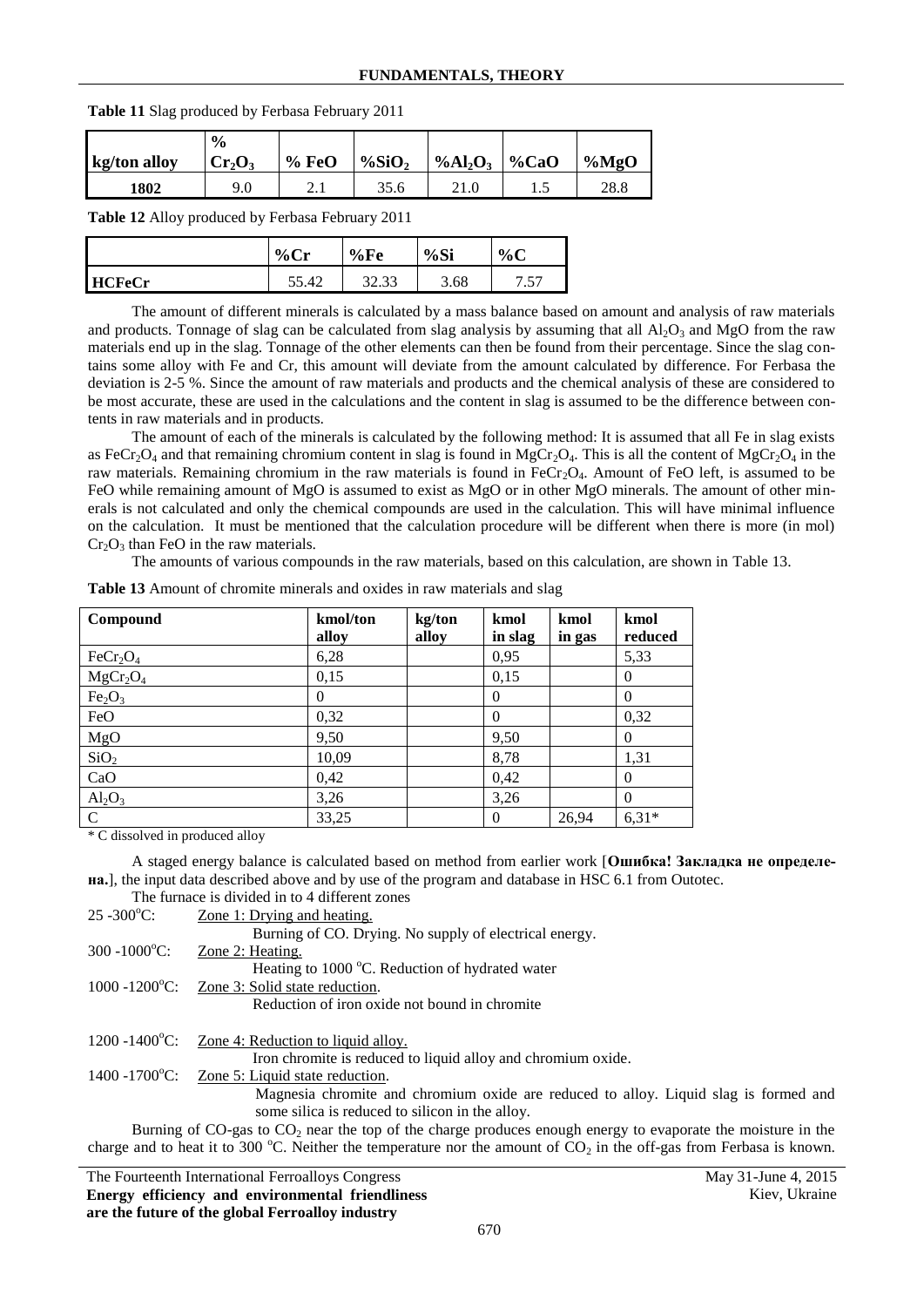### **FUNDAMENTALS, THEORY**

| kg/ton alloy | $\frac{0}{0}$<br>$Cr_2O_3$ | %FeO | $\%SiO2$ | %Al <sub>2</sub> O <sub>3</sub> | %CaO | $\%MgO$ |
|--------------|----------------------------|------|----------|---------------------------------|------|---------|
| 1802         | 9.0                        | 2. l | 35.6     |                                 | ن. 1 | 28.8    |

**Table 11** Slag produced by Ferbasa February 2011

<span id="page-2-0"></span>**Table 12** Alloy produced by Ferbasa February 2011

|        | $\frac{0}{0}$<br>٠. | %Fe           | %Si  | $\%C$     |
|--------|---------------------|---------------|------|-----------|
| HCFeCr | –⊶                  | າາ<br>ر ر.ر.ر | 3.68 | 57<br>. ب |

The amount of different minerals is calculated by a mass balance based on amount and analysis of raw materials and products. Tonnage of slag can be calculated from slag analysis by assuming that all  $Al_2O_3$  and MgO from the raw materials end up in the slag. Tonnage of the other elements can then be found from their percentage. Since the slag contains some alloy with Fe and Cr, this amount will deviate from the amount calculated by difference. For Ferbasa the deviation is 2-5 %. Since the amount of raw materials and products and the chemical analysis of these are considered to be most accurate, these are used in the calculations and the content in slag is assumed to be the difference between contents in raw materials and in products.

The amount of each of the minerals is calculated by the following method: It is assumed that all Fe in slag exists as FeCr<sub>2</sub>O<sub>4</sub> and that remaining chromium content in slag is found in MgCr<sub>2</sub>O<sub>4</sub>. This is all the content of MgCr<sub>2</sub>O<sub>4</sub> in the raw materials. Remaining chromium in the raw materials is found in  $FeCr_2O_4$ . Amount of FeO left, is assumed to be FeO while remaining amount of MgO is assumed to exist as MgO or in other MgO minerals. The amount of other minerals is not calculated and only the chemical compounds are used in the calculation. This will have minimal influence on the calculation. It must be mentioned that the calculation procedure will be different when there is more (in mol)  $Cr_2O_3$  than FeO in the raw materials.

The amounts of various compounds in the raw materials, based on this calculation, are shown in [Table 13.](#page-2-1)

| Compound                         | kmol/ton | kg/ton | kmol     | kmol   | kmol     |
|----------------------------------|----------|--------|----------|--------|----------|
|                                  | alloy    | alloy  | in slag  | in gas | reduced  |
| FeCr <sub>2</sub> O <sub>4</sub> | 6,28     |        | 0,95     |        | 5,33     |
| MgCr <sub>2</sub> O <sub>4</sub> | 0,15     |        | 0,15     |        | $\Omega$ |
| Fe <sub>2</sub> O <sub>3</sub>   | $\theta$ |        | $\Omega$ |        | $\theta$ |
| FeO                              | 0,32     |        | $\Omega$ |        | 0,32     |
| MgO                              | 9,50     |        | 9,50     |        | $\Omega$ |
| SiO <sub>2</sub>                 | 10,09    |        | 8,78     |        | 1,31     |
| CaO                              | 0,42     |        | 0,42     |        | $\Omega$ |
| $Al_2O_3$                        | 3,26     |        | 3,26     |        | $\theta$ |
| $\mathbf C$                      | 33,25    |        | $\theta$ | 26,94  | $6,31*$  |

<span id="page-2-1"></span>**Table 13** Amount of chromite minerals and oxides in raw materials and slag

\* C dissolved in produced alloy

A staged energy balance is calculated based on method from earlier work [**Ошибка! Закладка не определена.**], the input data described above and by use of the program and database in HSC 6.1 from Outotec.

|                               | The furnace is divided in to 4 different zones                                                                          |
|-------------------------------|-------------------------------------------------------------------------------------------------------------------------|
| $25 - 300^{\circ}$ C:         | Zone 1: Drying and heating.                                                                                             |
|                               | Burning of CO. Drying. No supply of electrical energy.                                                                  |
| $300 - 1000^{\circ}$ C:       | Zone 2: Heating.                                                                                                        |
|                               | Heating to 1000 °C. Reduction of hydrated water                                                                         |
| $1000 - 1200^{\circ}$ C:      | Zone 3: Solid state reduction.                                                                                          |
|                               | Reduction of iron oxide not bound in chromite                                                                           |
|                               |                                                                                                                         |
| $1200 - 1400$ °C:             | Zone 4: Reduction to liquid alloy.                                                                                      |
|                               | Iron chromite is reduced to liquid alloy and chromium oxide.                                                            |
| $1400 - 1700$ <sup>o</sup> C: | Zone 5: Liquid state reduction.                                                                                         |
|                               | Magnesia chromite and chromium oxide are reduced to alloy. Liquid slag is formed and                                    |
|                               | some silica is reduced to silicon in the alloy.                                                                         |
|                               | Burning of $CO_2$ as to $CO_2$ near the top of the charge produces enough energy to evaporate the moisture in the       |
|                               | charge and to heat it to 300 °C. Neither the temperature nor the amount of $CO_2$ in the off-gas from Ferbasa is known. |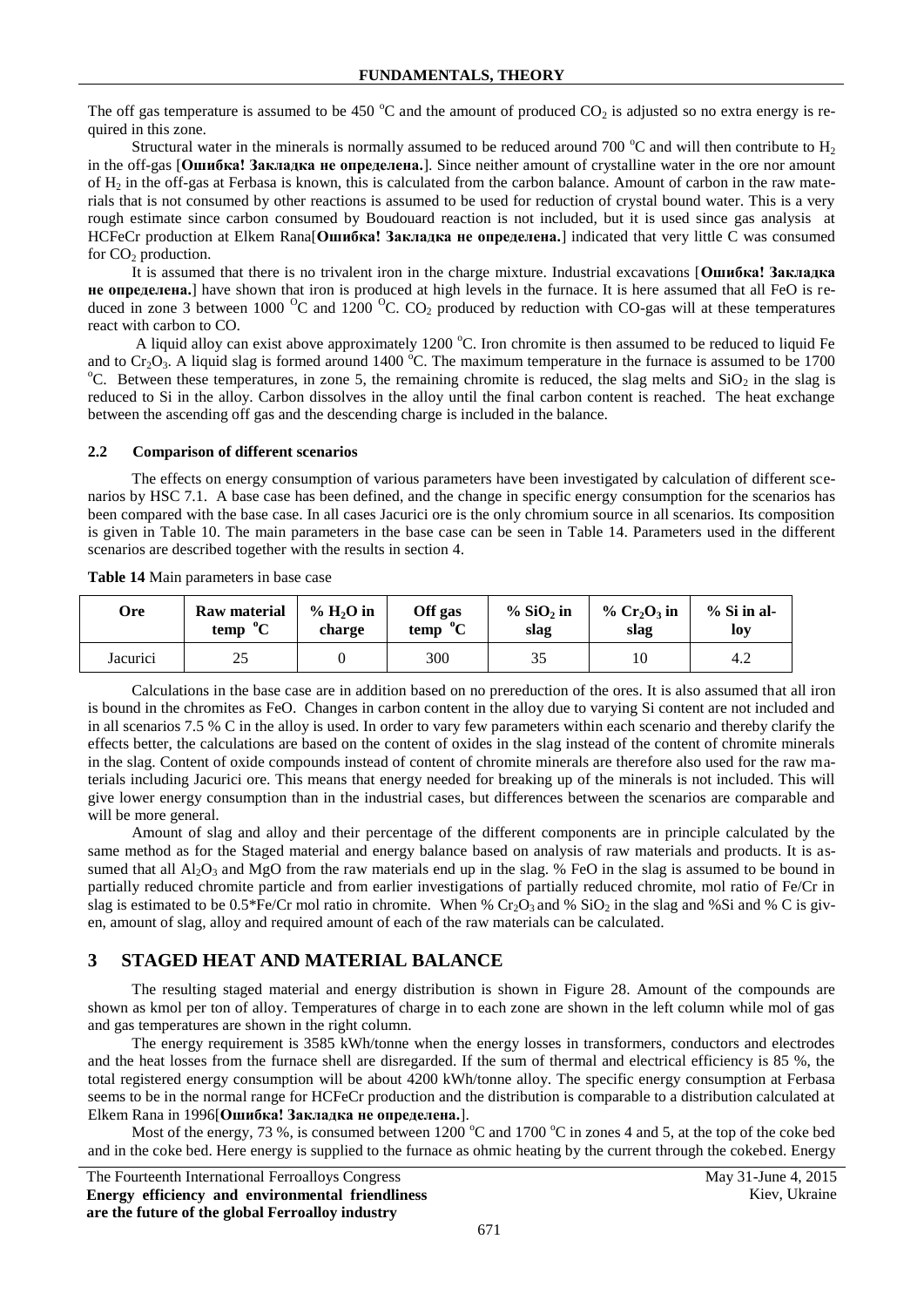The off gas temperature is assumed to be 450  $^{\circ}$ C and the amount of produced CO<sub>2</sub> is adjusted so no extra energy is required in this zone.

Structural water in the minerals is normally assumed to be reduced around 700  $^{\circ}$ C and will then contribute to H<sub>2</sub> in the off-gas [**Ошибка! Закладка не определена.**]. Since neither amount of crystalline water in the ore nor amount of  $H_2$  in the off-gas at Ferbasa is known, this is calculated from the carbon balance. Amount of carbon in the raw materials that is not consumed by other reactions is assumed to be used for reduction of crystal bound water. This is a very rough estimate since carbon consumed by Boudouard reaction is not included, but it is used since gas analysis at HCFeCr production at Elkem Rana[**Ошибка! Закладка не определена.**] indicated that very little C was consumed for  $CO<sub>2</sub>$  production.

It is assumed that there is no trivalent iron in the charge mixture. Industrial excavations [**Ошибка! Закладка не определена.**] have shown that iron is produced at high levels in the furnace. It is here assumed that all FeO is reduced in zone 3 between 1000  $^{0}C$  and 1200  $^{0}C$ . CO<sub>2</sub> produced by reduction with CO-gas will at these temperatures react with carbon to CO.

A liquid alloy can exist above approximately  $1200^{\circ}$ C. Iron chromite is then assumed to be reduced to liquid Fe and to  $Cr_2O_3$ . A liquid slag is formed around 1400 °C. The maximum temperature in the furnace is assumed to be 1700 <sup>o</sup>C. Between these temperatures, in zone 5, the remaining chromite is reduced, the slag melts and  $SiO<sub>2</sub>$  in the slag is reduced to Si in the alloy. Carbon dissolves in the alloy until the final carbon content is reached. The heat exchange between the ascending off gas and the descending charge is included in the balance.

#### **2.2 Comparison of different scenarios**

The effects on energy consumption of various parameters have been investigated by calculation of different scenarios by HSC 7.1. A base case has been defined, and the change in specific energy consumption for the scenarios has been compared with the base case. In all cases Jacurici ore is the only chromium source in all scenarios. Its composition is given in [Table 10.](#page-1-0) The main parameters in the base case can be seen in [Table 14.](#page-3-0) Parameters used in the different scenarios are described together with the results in section [4.](#page-4-0)

<span id="page-3-0"></span>**Table 14** Main parameters in base case

| Ore      | <b>Raw material</b> | $% H2O$ in | Off gas     | $% SiO2$ in | $\%$ Cr <sub>2</sub> O <sub>3</sub> in | $%$ Si in al- |
|----------|---------------------|------------|-------------|-------------|----------------------------------------|---------------|
|          | temp ${}^{0}C$      | charge     | $temp$ $°C$ | slag        | slag                                   | <b>loy</b>    |
| Jacurici | 25<br>نەك           |            | 300         | 35          | 10                                     | 4.2           |

Calculations in the base case are in addition based on no prereduction of the ores. It is also assumed that all iron is bound in the chromites as FeO. Changes in carbon content in the alloy due to varying Si content are not included and in all scenarios 7.5 % C in the alloy is used. In order to vary few parameters within each scenario and thereby clarify the effects better, the calculations are based on the content of oxides in the slag instead of the content of chromite minerals in the slag. Content of oxide compounds instead of content of chromite minerals are therefore also used for the raw materials including Jacurici ore. This means that energy needed for breaking up of the minerals is not included. This will give lower energy consumption than in the industrial cases, but differences between the scenarios are comparable and will be more general.

Amount of slag and alloy and their percentage of the different components are in principle calculated by the same method as for the Staged material and energy balance based on analysis of raw materials and products. It is assumed that all  $Al_2O_3$  and MgO from the raw materials end up in the slag. % FeO in the slag is assumed to be bound in partially reduced chromite particle and from earlier investigations of partially reduced chromite, mol ratio of Fe/Cr in slag is estimated to be 0.5\*Fe/Cr mol ratio in chromite. When %  $Cr_2O_3$  and %  $SiO_2$  in the slag and %Si and % C is given, amount of slag, alloy and required amount of each of the raw materials can be calculated.

## **3 STAGED HEAT AND MATERIAL BALANCE**

The resulting staged material and energy distribution is shown in [Figure 28.](#page-4-1) Amount of the compounds are shown as kmol per ton of alloy. Temperatures of charge in to each zone are shown in the left column while mol of gas and gas temperatures are shown in the right column.

The energy requirement is 3585 kWh/tonne when the energy losses in transformers, conductors and electrodes and the heat losses from the furnace shell are disregarded. If the sum of thermal and electrical efficiency is 85 %, the total registered energy consumption will be about 4200 kWh/tonne alloy. The specific energy consumption at Ferbasa seems to be in the normal range for HCFeCr production and the distribution is comparable to a distribution calculated at Elkem Rana in 1996[**Ошибка! Закладка не определена.**].

Most of the energy, 73 %, is consumed between 1200  $^{\circ}$ C and 1700  $^{\circ}$ C in zones 4 and 5, at the top of the coke bed and in the coke bed. Here energy is supplied to the furnace as ohmic heating by the current through the cokebed. Energy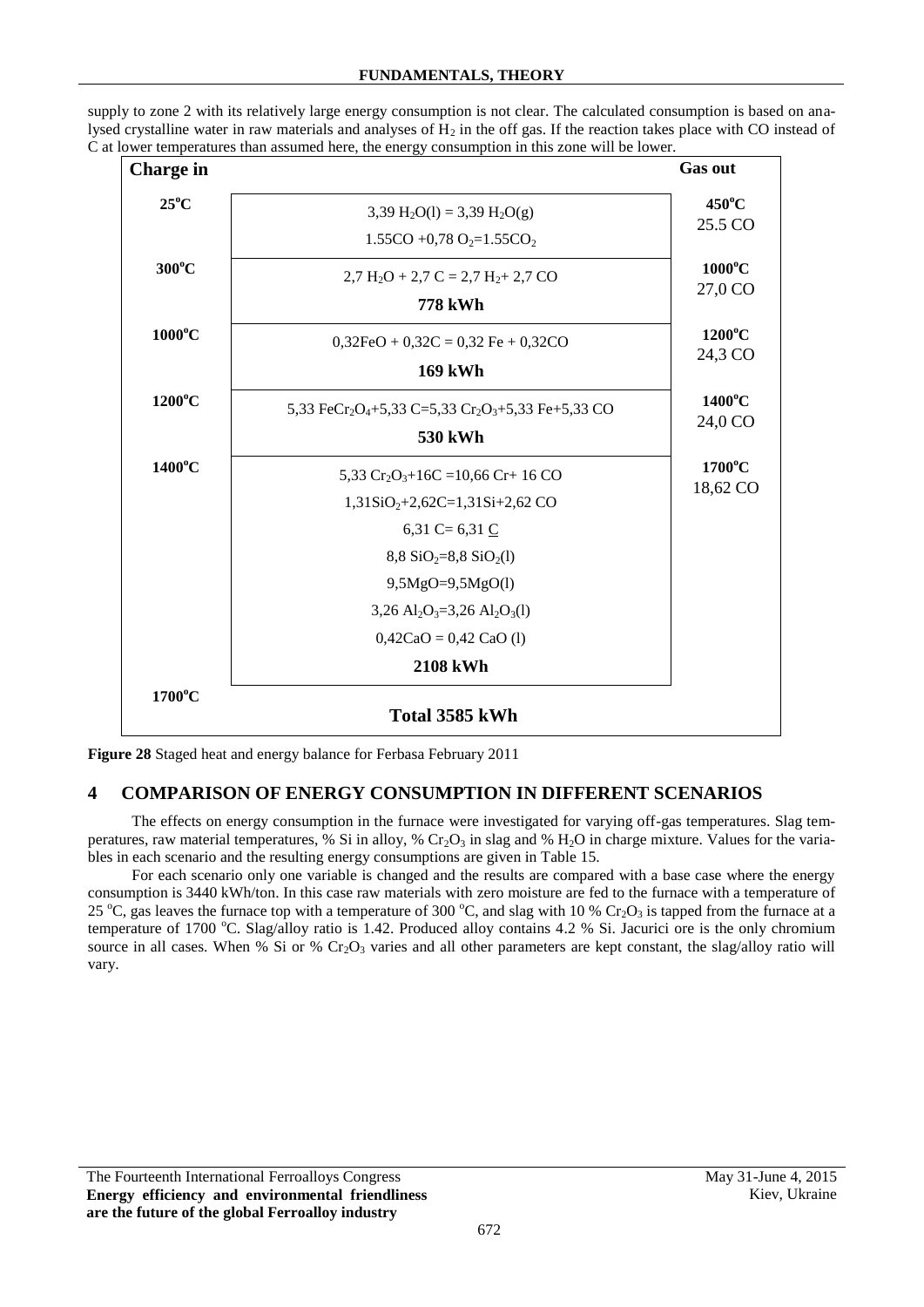| <b>Charge in</b> |                                                                                                                                                                                                                                                                                                          | <b>Gas out</b>               |
|------------------|----------------------------------------------------------------------------------------------------------------------------------------------------------------------------------------------------------------------------------------------------------------------------------------------------------|------------------------------|
| $25^{\circ}$ C   | 3,39 H <sub>2</sub> O(1) = 3,39 H <sub>2</sub> O(g)<br>1.55CO +0,78 O <sub>2</sub> =1.55CO <sub>2</sub>                                                                                                                                                                                                  | $450^{\circ}$ C<br>25.5 CO   |
| $300^{\circ}$ C  | $2,7$ H <sub>2</sub> O + 2,7 C = 2,7 H <sub>2</sub> + 2,7 CO<br><b>778 kWh</b>                                                                                                                                                                                                                           | $1000^{\circ}$ C<br>27,0 CO  |
| $1000^{\circ}$ C | $0,32FeO + 0,32C = 0,32 Fe + 0,32CO$<br><b>169 kWh</b>                                                                                                                                                                                                                                                   | $1200^{\circ}$ C<br>24,3 CO  |
| $1200^{\circ}$ C | 5,33 FeCr <sub>2</sub> O <sub>4</sub> +5,33 C=5,33 Cr <sub>2</sub> O <sub>3</sub> +5,33 Fe+5,33 CO<br>530 kWh                                                                                                                                                                                            | $1400^{\circ}$ C<br>24,0 CO  |
| $1400^{\circ}$ C | 5,33 $Cr_2O_3 + 16C = 10,66 Cr + 16 CO$<br>$1,31SiO2+2,62C=1,31Si+2,62 CO$<br>6,31 C = $6,31$ C<br>$8,8$ SiO <sub>2</sub> =8,8 SiO <sub>2</sub> (1)<br>$9,5MgO=9,5MgO(1)$<br>3,26 Al <sub>2</sub> O <sub>3</sub> =3,26 Al <sub>2</sub> O <sub>3</sub> (1)<br>$0,42CaO = 0,42 CaO$ (1)<br><b>2108 kWh</b> | $1700^{\circ}$ C<br>18,62 CO |
| $1700^{\circ}$ C |                                                                                                                                                                                                                                                                                                          |                              |
|                  | Total 3585 kWh                                                                                                                                                                                                                                                                                           |                              |

supply to zone 2 with its relatively large energy consumption is not clear. The calculated consumption is based on analysed crystalline water in raw materials and analyses of  $\overline{H}_2$  in the off gas. If the reaction takes place with CO instead of C at lower temperatures than assumed here, the energy consumption in this zone will be lower.

<span id="page-4-1"></span>**Figure 28** Staged heat and energy balance for Ferbasa February 2011

## <span id="page-4-0"></span>**4 COMPARISON OF ENERGY CONSUMPTION IN DIFFERENT SCENARIOS**

The effects on energy consumption in the furnace were investigated for varying off-gas temperatures. Slag temperatures, raw material temperatures, % Si in alloy, %  $Cr_2O_3$  in slag and %  $H_2O$  in charge mixture. Values for the variables in each scenario and the resulting energy consumptions are given in [Table 15.](#page-5-0)

For each scenario only one variable is changed and the results are compared with a base case where the energy consumption is 3440 kWh/ton. In this case raw materials with zero moisture are fed to the furnace with a temperature of 25 °C, gas leaves the furnace top with a temperature of 300 °C, and slag with 10 % Cr<sub>2</sub>O<sub>3</sub> is tapped from the furnace at a temperature of 1700 °C. Slag/alloy ratio is 1.42. Produced alloy contains 4.2 % Si. Jacurici ore is the only chromium source in all cases. When % Si or %  $Cr_2O_3$  varies and all other parameters are kept constant, the slag/alloy ratio will vary.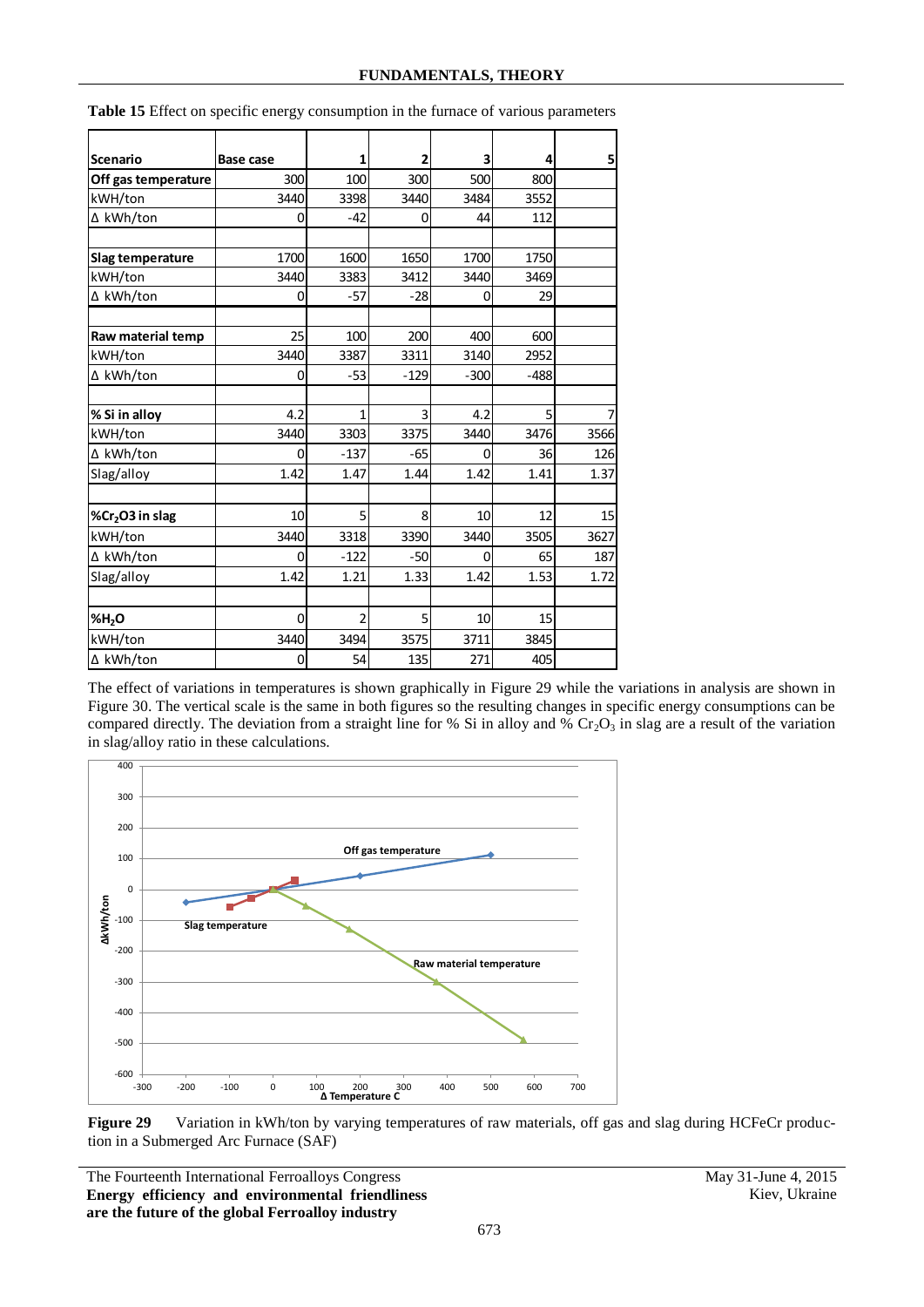| <b>Scenario</b>             | Base case | 1              | 2      | 3      | 4      | 5    |
|-----------------------------|-----------|----------------|--------|--------|--------|------|
| Off gas temperature         | 300       | 100            | 300    | 500    | 800    |      |
| kWH/ton                     | 3440      | 3398           | 3440   | 3484   | 3552   |      |
| ∆ kWh/ton                   | 0         | $-42$          | 0      | 44     | 112    |      |
|                             |           |                |        |        |        |      |
| Slag temperature            | 1700      | 1600           | 1650   | 1700   | 1750   |      |
| kWH/ton                     | 3440      | 3383           | 3412   | 3440   | 3469   |      |
| ∆ kWh/ton                   | 0         | $-57$          | $-28$  | 0      | 29     |      |
|                             |           |                |        |        |        |      |
| Raw material temp           | 25        | 100            | 200    | 400    | 600    |      |
| kWH/ton                     | 3440      | 3387           | 3311   | 3140   | 2952   |      |
| ∆ kWh/ton                   | 0         | -53            | $-129$ | $-300$ | $-488$ |      |
|                             |           |                |        |        |        |      |
| % Si in alloy               | 4.2       | 1              | 3      | 4.2    | 5      |      |
| kWH/ton                     | 3440      | 3303           | 3375   | 3440   | 3476   | 3566 |
| ∆ kWh/ton                   | 0         | $-137$         | $-65$  | 0      | 36     | 126  |
| Slag/alloy                  | 1.42      | 1.47           | 1.44   | 1.42   | 1.41   | 1.37 |
|                             |           |                |        |        |        |      |
| %Cr <sub>2</sub> O3 in slag | 10        | 5              | 8      | 10     | 12     | 15   |
| kWH/ton                     | 3440      | 3318           | 3390   | 3440   | 3505   | 3627 |
| ∆ kWh/ton                   | 0         | $-122$         | $-50$  | 0      | 65     | 187  |
| Slag/alloy                  | 1.42      | 1.21           | 1.33   | 1.42   | 1.53   | 1.72 |
|                             |           |                |        |        |        |      |
| %H <sub>2</sub> O           | 0         | $\overline{2}$ | 5      | 10     | 15     |      |
| kWH/ton                     | 3440      | 3494           | 3575   | 3711   | 3845   |      |
| ∆ kWh/ton                   | 0         | 54             | 135    | 271    | 405    |      |

<span id="page-5-0"></span>**Table 15** Effect on specific energy consumption in the furnace of various parameters

The effect of variations in temperatures is shown graphically in [Figure 29](#page-5-1) while the variations in analysis are shown in [Figure 30.](#page-6-0) The vertical scale is the same in both figures so the resulting changes in specific energy consumptions can be compared directly. The deviation from a straight line for % Si in alloy and %  $Cr_2O_3$  in slag are a result of the variation in slag/alloy ratio in these calculations.



<span id="page-5-1"></span>Figure 29 Variation in kWh/ton by varying temperatures of raw materials, off gas and slag during HCFeCr production in a Submerged Arc Furnace (SAF)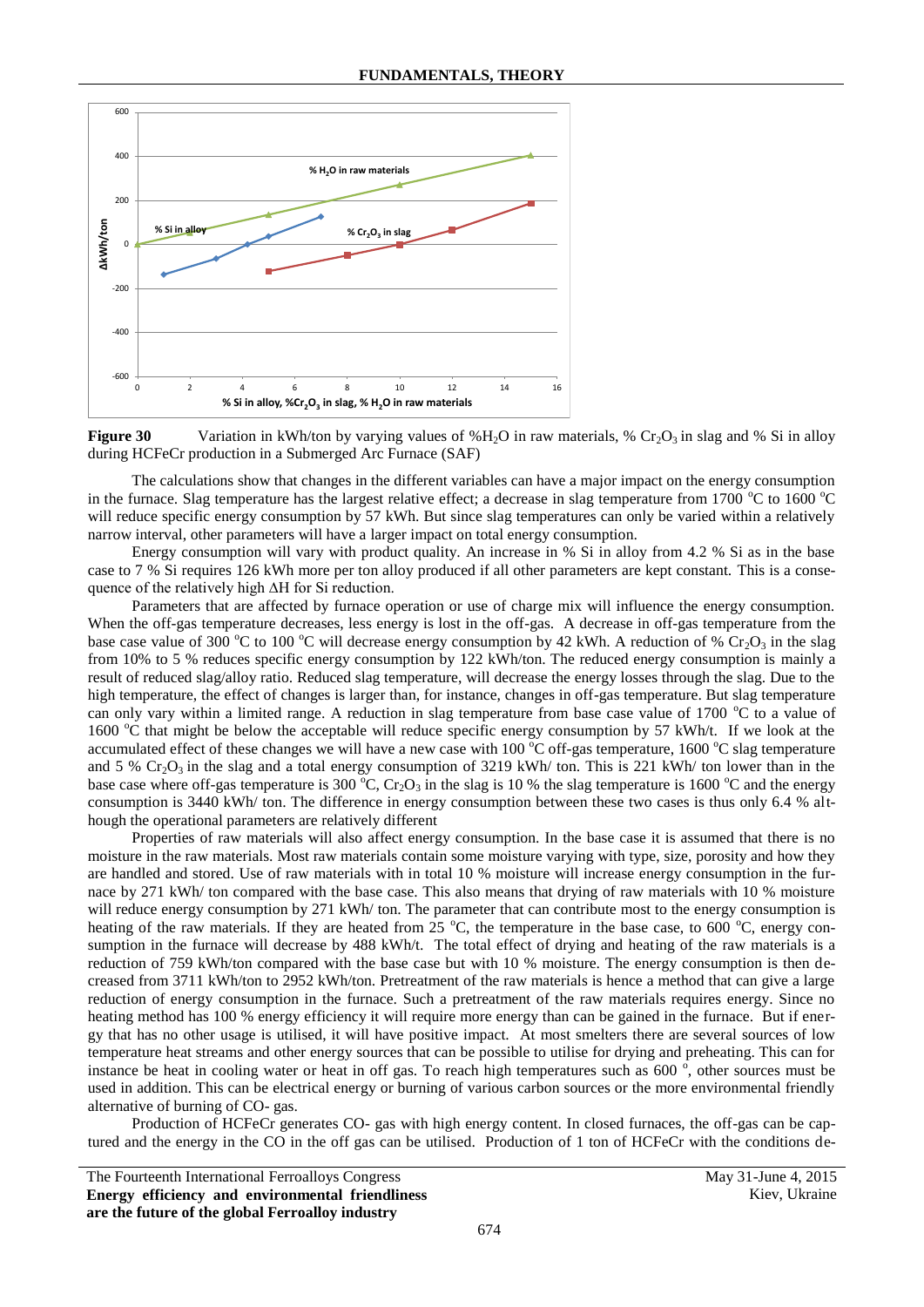

<span id="page-6-0"></span>**Figure 30** Variation in kWh/ton by varying values of  $%H_2O$  in raw materials,  $% Cr_2O_3$  in slag and % Si in alloy during HCFeCr production in a Submerged Arc Furnace (SAF)

The calculations show that changes in the different variables can have a major impact on the energy consumption in the furnace. Slag temperature has the largest relative effect; a decrease in slag temperature from 1700  $^{\circ}$ C to 1600  $^{\circ}$ C will reduce specific energy consumption by 57 kWh. But since slag temperatures can only be varied within a relatively narrow interval, other parameters will have a larger impact on total energy consumption.

Energy consumption will vary with product quality. An increase in % Si in alloy from 4.2 % Si as in the base case to 7 % Si requires 126 kWh more per ton alloy produced if all other parameters are kept constant. This is a consequence of the relatively high ∆H for Si reduction.

Parameters that are affected by furnace operation or use of charge mix will influence the energy consumption. When the off-gas temperature decreases, less energy is lost in the off-gas. A decrease in off-gas temperature from the base case value of 300 °C to 100 °C will decrease energy consumption by 42 kWh. A reduction of % Cr<sub>2</sub>O<sub>3</sub> in the slag from 10% to 5 % reduces specific energy consumption by 122 kWh/ton. The reduced energy consumption is mainly a result of reduced slag/alloy ratio. Reduced slag temperature, will decrease the energy losses through the slag. Due to the high temperature, the effect of changes is larger than, for instance, changes in off-gas temperature. But slag temperature can only vary within a limited range. A reduction in slag temperature from base case value of  $1700 \degree C$  to a value of 1600  $^{\circ}$ C that might be below the acceptable will reduce specific energy consumption by 57 kWh/t. If we look at the accumulated effect of these changes we will have a new case with 100  $^{\circ}$ C off-gas temperature, 1600  $^{\circ}$ C slag temperature and 5 %  $Cr_2O_3$  in the slag and a total energy consumption of 3219 kWh/ ton. This is 221 kWh/ ton lower than in the base case where off-gas temperature is 300 °C,  $Cr_2O_3$  in the slag is 10 % the slag temperature is 1600 °C and the energy consumption is 3440 kWh/ ton. The difference in energy consumption between these two cases is thus only 6.4 % although the operational parameters are relatively different

Properties of raw materials will also affect energy consumption. In the base case it is assumed that there is no moisture in the raw materials. Most raw materials contain some moisture varying with type, size, porosity and how they are handled and stored. Use of raw materials with in total 10 % moisture will increase energy consumption in the furnace by 271 kWh/ ton compared with the base case. This also means that drying of raw materials with 10 % moisture will reduce energy consumption by 271 kWh/ ton. The parameter that can contribute most to the energy consumption is heating of the raw materials. If they are heated from 25  $^{\circ}$ C, the temperature in the base case, to 600  $^{\circ}$ C, energy consumption in the furnace will decrease by 488 kWh/t. The total effect of drying and heating of the raw materials is a reduction of 759 kWh/ton compared with the base case but with 10 % moisture. The energy consumption is then decreased from 3711 kWh/ton to 2952 kWh/ton. Pretreatment of the raw materials is hence a method that can give a large reduction of energy consumption in the furnace. Such a pretreatment of the raw materials requires energy. Since no heating method has 100 % energy efficiency it will require more energy than can be gained in the furnace. But if energy that has no other usage is utilised, it will have positive impact. At most smelters there are several sources of low temperature heat streams and other energy sources that can be possible to utilise for drying and preheating. This can for instance be heat in cooling water or heat in off gas. To reach high temperatures such as  $600^\circ$ , other sources must be used in addition. This can be electrical energy or burning of various carbon sources or the more environmental friendly alternative of burning of CO- gas.

Production of HCFeCr generates CO- gas with high energy content. In closed furnaces, the off-gas can be captured and the energy in the CO in the off gas can be utilised. Production of 1 ton of HCFeCr with the conditions de-

|                                                  |  |  | The Fourteenth International Ferroalloys Congress |  |  |
|--------------------------------------------------|--|--|---------------------------------------------------|--|--|
|                                                  |  |  | Energy efficiency and environmental friendliness  |  |  |
| are the future of the global Ferroalloy industry |  |  |                                                   |  |  |